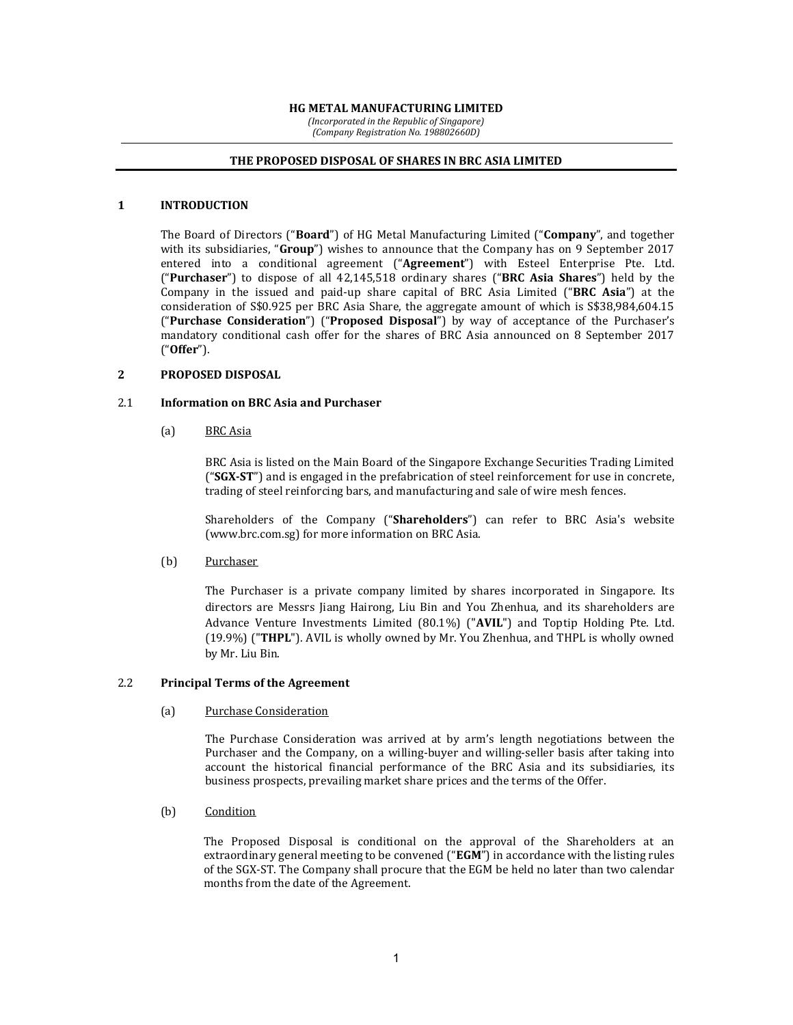#### HG METAL MANUFACTURING LIMITED

(Incorporated in the Republic of Singapore) (Company Registration No. 198802660D)

#### THE PROPOSED DISPOSAL OF SHARES IN BRC ASIA LIMITED

### 1 INTRODUCTION

 The Board of Directors ("Board") of HG Metal Manufacturing Limited ("Company", and together with its subsidiaries, "Group") wishes to announce that the Company has on 9 September 2017 entered into a conditional agreement ("Agreement") with Esteel Enterprise Pte. Ltd. ("Purchaser") to dispose of all 42,145,518 ordinary shares ("BRC Asia Shares") held by the Company in the issued and paid-up share capital of BRC Asia Limited ("BRC Asia") at the consideration of S\$0.925 per BRC Asia Share, the aggregate amount of which is S\$38,984,604.15 ("Purchase Consideration") ("Proposed Disposal") by way of acceptance of the Purchaser's mandatory conditional cash offer for the shares of BRC Asia announced on 8 September 2017 ("Offer").

### 2 PROPOSED DISPOSAL

#### 2.1 Information on BRC Asia and Purchaser

(a) BRC Asia

BRC Asia is listed on the Main Board of the Singapore Exchange Securities Trading Limited ("SGX-ST") and is engaged in the prefabrication of steel reinforcement for use in concrete, trading of steel reinforcing bars, and manufacturing and sale of wire mesh fences.

Shareholders of the Company ("Shareholders") can refer to BRC Asia's website (www.brc.com.sg) for more information on BRC Asia.

(b) Purchaser

The Purchaser is a private company limited by shares incorporated in Singapore. Its directors are Messrs Jiang Hairong, Liu Bin and You Zhenhua, and its shareholders are Advance Venture Investments Limited (80.1%) ("AVIL") and Toptip Holding Pte. Ltd. (19.9%) ("THPL"). AVIL is wholly owned by Mr. You Zhenhua, and THPL is wholly owned by Mr. Liu Bin.

## 2.2 Principal Terms of the Agreement

(a) Purchase Consideration

The Purchase Consideration was arrived at by arm's length negotiations between the Purchaser and the Company, on a willing-buyer and willing-seller basis after taking into account the historical financial performance of the BRC Asia and its subsidiaries, its business prospects, prevailing market share prices and the terms of the Offer.

(b) Condition

The Proposed Disposal is conditional on the approval of the Shareholders at an extraordinary general meeting to be convened ("EGM") in accordance with the listing rules of the SGX-ST. The Company shall procure that the EGM be held no later than two calendar months from the date of the Agreement.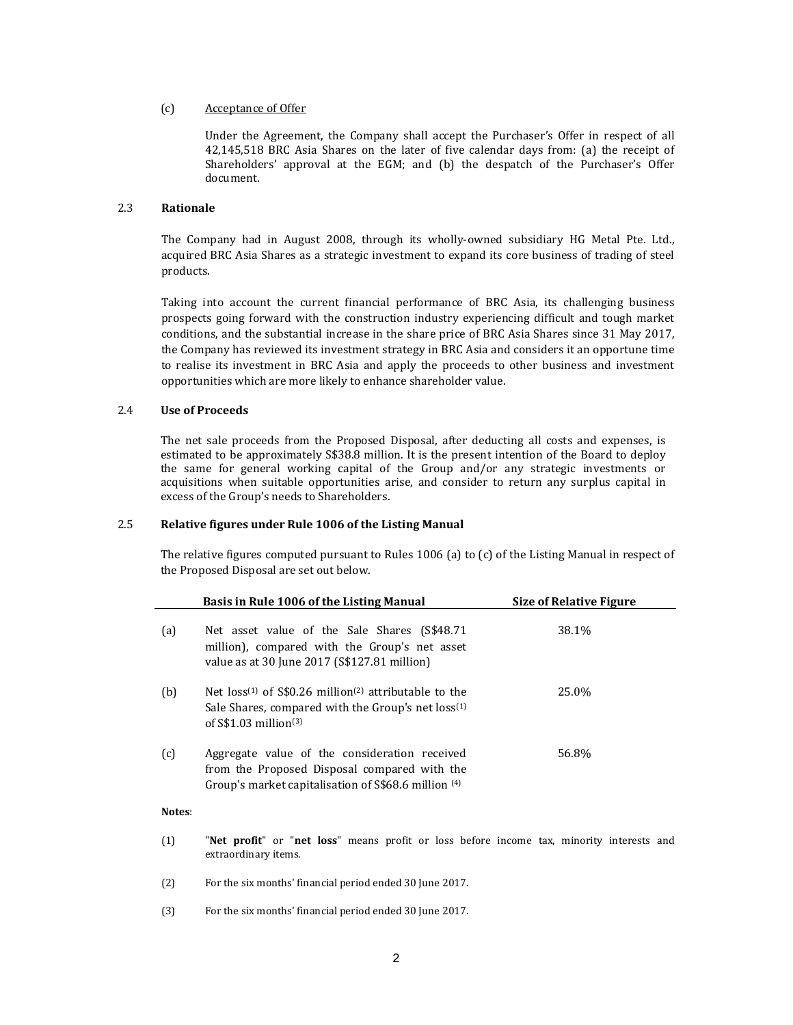### (c) Acceptance of Offer

Under the Agreement, the Company shall accept the Purchaser's Offer in respect of all 42,145,518 BRC Asia Shares on the later of five calendar days from: (a) the receipt of Shareholders' approval at the EGM; and (b) the despatch of the Purchaser's Offer document.

### 2.3 Rationale

The Company had in August 2008, through its wholly-owned subsidiary HG Metal Pte. Ltd., acquired BRC Asia Shares as a strategic investment to expand its core business of trading of steel products.

Taking into account the current financial performance of BRC Asia, its challenging business prospects going forward with the construction industry experiencing difficult and tough market conditions, and the substantial increase in the share price of BRC Asia Shares since 31 May 2017, the Company has reviewed its investment strategy in BRC Asia and considers it an opportune time to realise its investment in BRC Asia and apply the proceeds to other business and investment opportunities which are more likely to enhance shareholder value.

### 2.4 Use of Proceeds

The net sale proceeds from the Proposed Disposal, after deducting all costs and expenses, is estimated to be approximately S\$38.8 million. It is the present intention of the Board to deploy the same for general working capital of the Group and/or any strategic investments or acquisitions when suitable opportunities arise, and consider to return any surplus capital in excess of the Group's needs to Shareholders.

#### 2.5 Relative figures under Rule 1006 of the Listing Manual

The relative figures computed pursuant to Rules 1006 (a) to (c) of the Listing Manual in respect of the Proposed Disposal are set out below.

|     | Basis in Rule 1006 of the Listing Manual                                                                                                                                        | <b>Size of Relative Figure</b> |
|-----|---------------------------------------------------------------------------------------------------------------------------------------------------------------------------------|--------------------------------|
| (a) | Net asset value of the Sale Shares (S\$48.71<br>million), compared with the Group's net asset<br>value as at 30 June 2017 (S\$127.81 million)                                   | 38.1%                          |
| (b) | Net $loss^{(1)}$ of S\$0.26 million <sup>(2)</sup> attributable to the<br>Sale Shares, compared with the Group's net loss <sup>(1)</sup><br>of $S\$ 1.03 million <sup>(3)</sup> | 25.0%                          |
| (c) | Aggregate value of the consideration received<br>from the Proposed Disposal compared with the<br>Group's market capitalisation of S\$68.6 million <sup>(4)</sup>                | 56.8%                          |

#### Notes:

- (1) "Net profit" or "net loss" means profit or loss before income tax, minority interests and extraordinary items.
- (2) For the six months' financial period ended 30 June 2017.
- (3) For the six months' financial period ended 30 June 2017.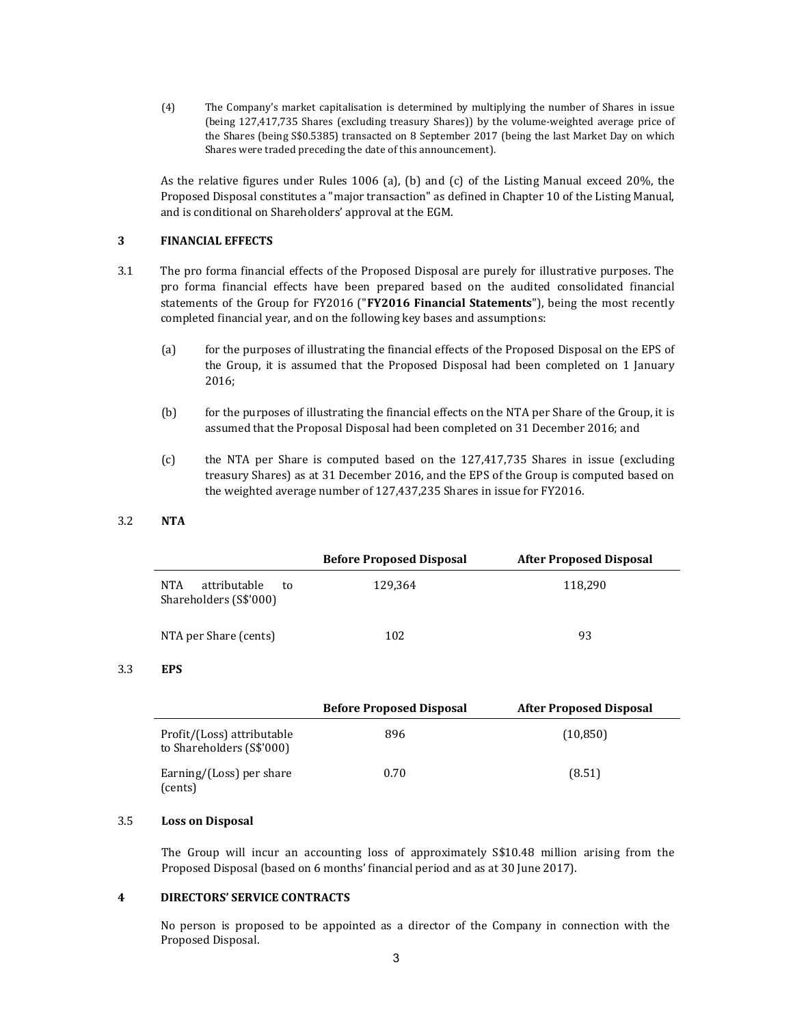(4) The Company's market capitalisation is determined by multiplying the number of Shares in issue (being 127,417,735 Shares (excluding treasury Shares)) by the volume-weighted average price of the Shares (being S\$0.5385) transacted on 8 September 2017 (being the last Market Day on which Shares were traded preceding the date of this announcement).

 As the relative figures under Rules 1006 (a), (b) and (c) of the Listing Manual exceed 20%, the Proposed Disposal constitutes a "major transaction" as defined in Chapter 10 of the Listing Manual, and is conditional on Shareholders' approval at the EGM.

## 3 FINANCIAL EFFECTS

- 3.1 The pro forma financial effects of the Proposed Disposal are purely for illustrative purposes. The pro forma financial effects have been prepared based on the audited consolidated financial statements of the Group for FY2016 ("FY2016 Financial Statements"), being the most recently completed financial year, and on the following key bases and assumptions:
	- (a) for the purposes of illustrating the financial effects of the Proposed Disposal on the EPS of the Group, it is assumed that the Proposed Disposal had been completed on 1 January 2016;
	- (b) for the purposes of illustrating the financial effects on the NTA per Share of the Group, it is assumed that the Proposal Disposal had been completed on 31 December 2016; and
	- (c) the NTA per Share is computed based on the 127,417,735 Shares in issue (excluding treasury Shares) as at 31 December 2016, and the EPS of the Group is computed based on the weighted average number of 127,437,235 Shares in issue for FY2016.

3.2 NTA

|                                                     | <b>Before Proposed Disposal</b> | <b>After Proposed Disposal</b> |
|-----------------------------------------------------|---------------------------------|--------------------------------|
| attributable<br>NTA<br>to<br>Shareholders (S\$'000) | 129,364                         | 118,290                        |
| NTA per Share (cents)                               | 102                             | 93                             |

### 3.3 EPS

|                                                         | <b>Before Proposed Disposal</b> | <b>After Proposed Disposal</b> |
|---------------------------------------------------------|---------------------------------|--------------------------------|
| Profit/(Loss) attributable<br>to Shareholders (S\$'000) | 896                             | (10, 850)                      |
| Earning/(Loss) per share<br>(cents)                     | 0.70                            | (8.51)                         |

#### 3.5 Loss on Disposal

The Group will incur an accounting loss of approximately S\$10.48 million arising from the Proposed Disposal (based on 6 months' financial period and as at 30 June 2017).

## 4 DIRECTORS' SERVICE CONTRACTS

 No person is proposed to be appointed as a director of the Company in connection with the Proposed Disposal.